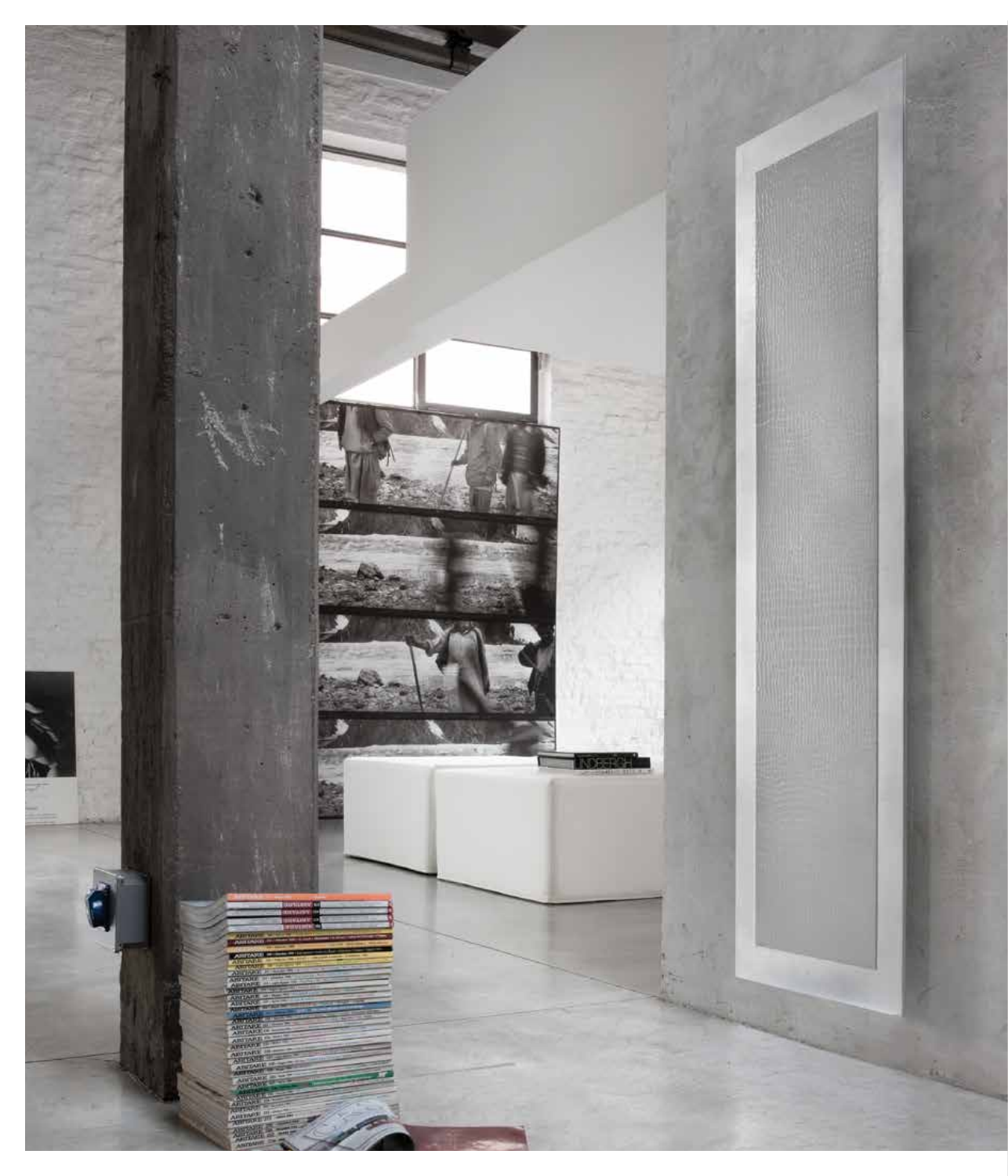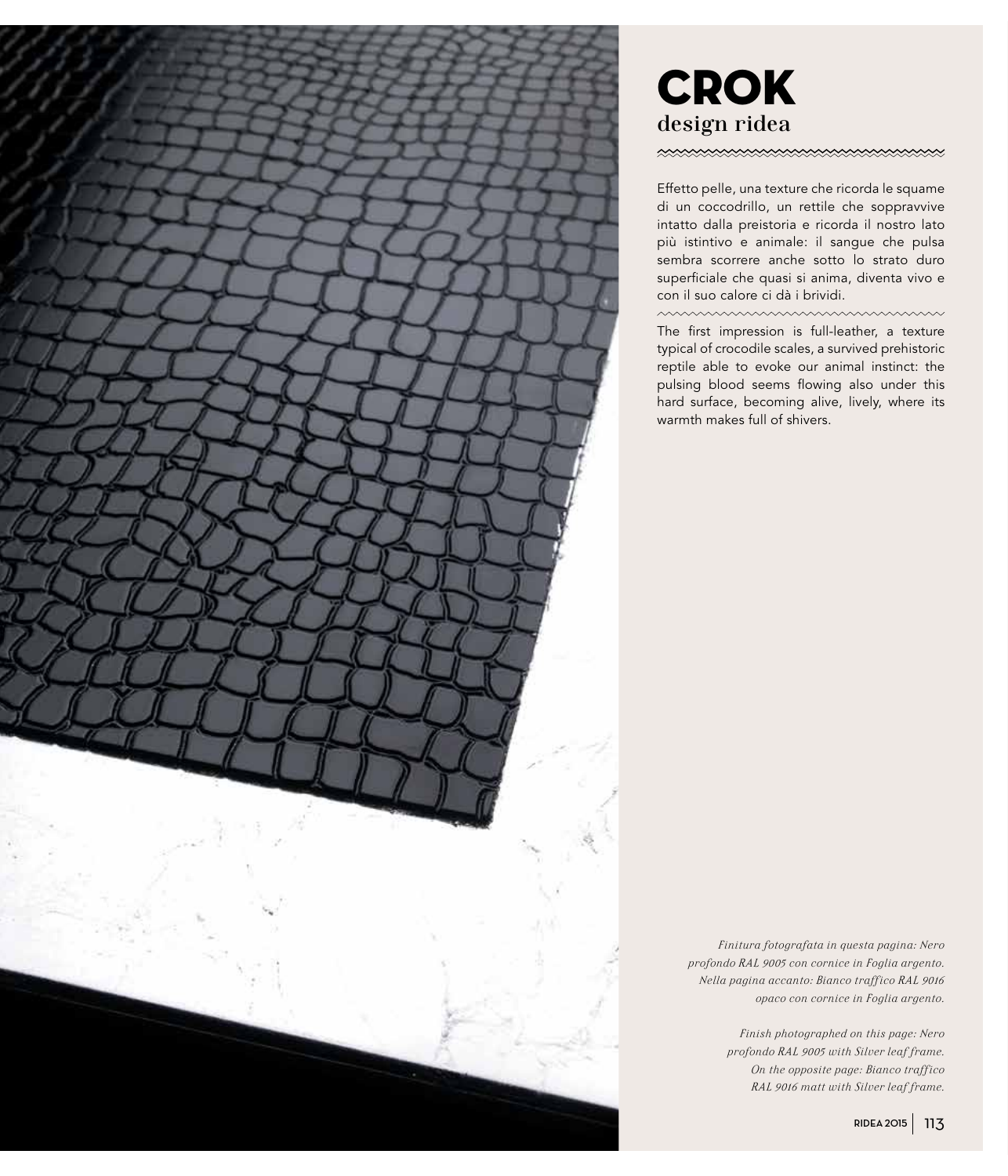

## **CROK design ridea**

Effetto pelle, una texture che ricorda le squame di un coccodrillo, un rettile che soppravvive intatto dalla preistoria e ricorda il nostro lato più istintivo e animale: il sangue che pulsa sembra scorrere anche sotto lo strato duro superficiale che quasi si anima, diventa vivo e con il suo calore ci dà i brividi.

The first impression is full-leather, a texture typical of crocodile scales, a survived prehistoric reptile able to evoke our animal instinct: the pulsing blood seems flowing also under this hard surface, becoming alive, lively, where its warmth makes full of shivers.

*Finitura fotografata in questa pagina: Nero profondo RAL 9005 con cornice in Foglia argento. Nella pagina accanto: Bianco traffico RAL 9016 opaco con cornice in Foglia argento.*

> *Finish photographed on this page: Nero profondo RAL 9005 with Silver leaf frame. On the opposite page: Bianco traffico RAL 9016 matt with Silver leaf frame.*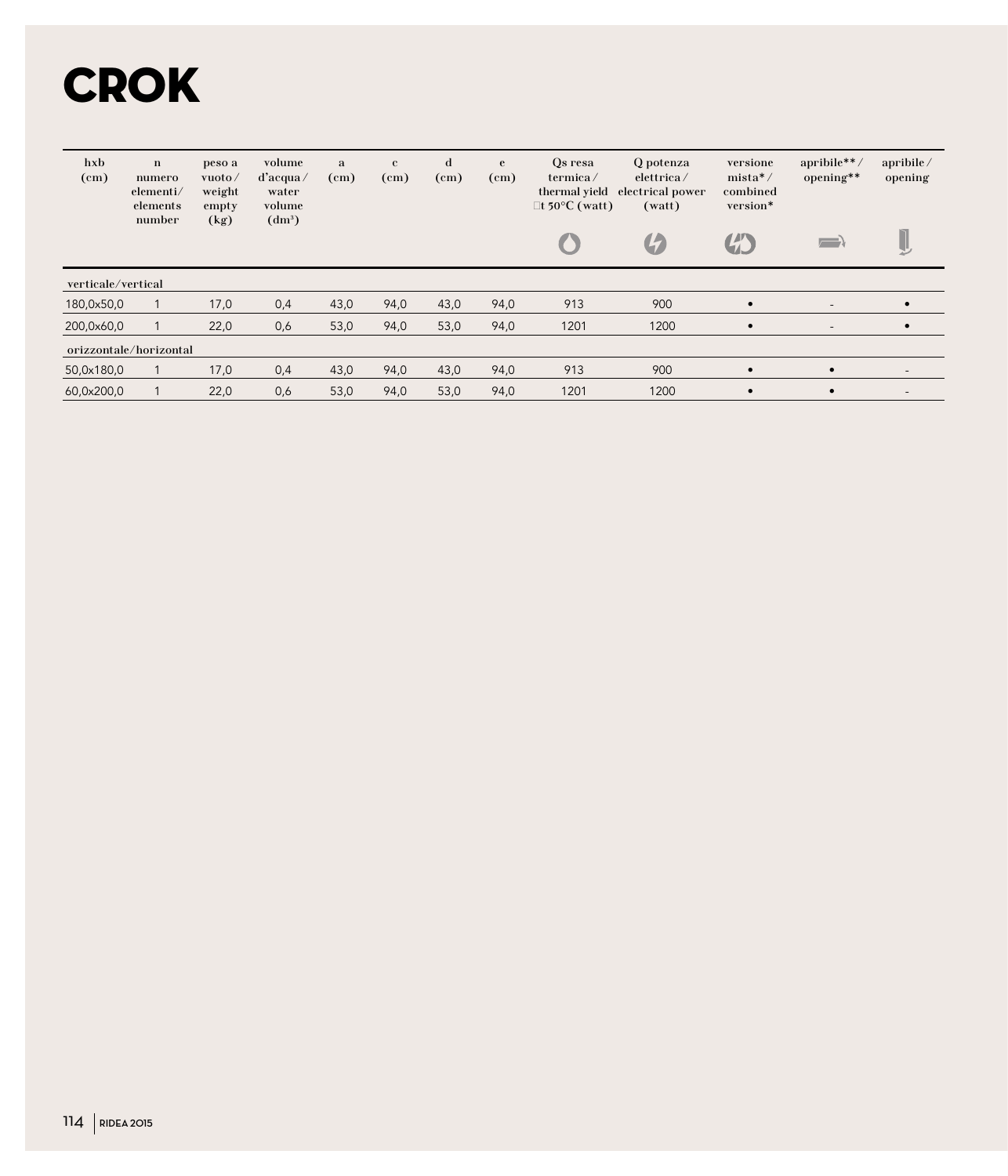## **CROK**

| hxb<br>$\text{(cm)}$   | $\mathbf n$<br>numero<br>elementi/<br>elements<br>number | peso a<br>vuoto/<br>weight<br>empty<br>(kg) | volume<br>d'acqua /<br>water<br>volume<br>$(dm^3)$ | a<br>$\text{(cm)}$ | $\mathbf c$<br>(c <sub>m</sub> ) | d<br>$\text{(cm)}$ | e<br>$\epsilon$ (cm) | Os resa<br>termica/<br>thermal yield<br>$\Box t$ 50 $\degree$ C (watt) | O potenza<br>elettrica/<br>electrical power<br>(watt) | versione<br>$mista*/$<br>combined<br>version* | apribile**/<br>opening** | apribile/<br>opening     |
|------------------------|----------------------------------------------------------|---------------------------------------------|----------------------------------------------------|--------------------|----------------------------------|--------------------|----------------------|------------------------------------------------------------------------|-------------------------------------------------------|-----------------------------------------------|--------------------------|--------------------------|
|                        |                                                          |                                             |                                                    |                    |                                  |                    |                      | $\mathbf O$                                                            | $\bm G$                                               | $\boldsymbol{\omega}$                         | $\sqrt{2}$               |                          |
| verticale/vertical     |                                                          |                                             |                                                    |                    |                                  |                    |                      |                                                                        |                                                       |                                               |                          |                          |
| 180,0x50,0             |                                                          | 17,0                                        | 0,4                                                | 43,0               | 94,0                             | 43,0               | 94,0                 | 913                                                                    | 900                                                   | $\bullet$                                     | $\overline{\phantom{a}}$ | $\bullet$                |
| 200,0x60,0             |                                                          | 22,0                                        | 0,6                                                | 53,0               | 94,0                             | 53,0               | 94,0                 | 1201                                                                   | 1200                                                  | $\bullet$                                     | $\overline{\phantom{a}}$ | $\bullet$                |
| orizzontale/horizontal |                                                          |                                             |                                                    |                    |                                  |                    |                      |                                                                        |                                                       |                                               |                          |                          |
| 50,0x180,0             |                                                          | 17,0                                        | 0,4                                                | 43,0               | 94,0                             | 43,0               | 94,0                 | 913                                                                    | 900                                                   | $\bullet$                                     | $\bullet$                | $\overline{\phantom{a}}$ |
| 60,0x200,0             |                                                          | 22,0                                        | 0,6                                                | 53,0               | 94,0                             | 53,0               | 94,0                 | 1201                                                                   | 1200                                                  | $\bullet$                                     | $\bullet$                | $\overline{a}$           |